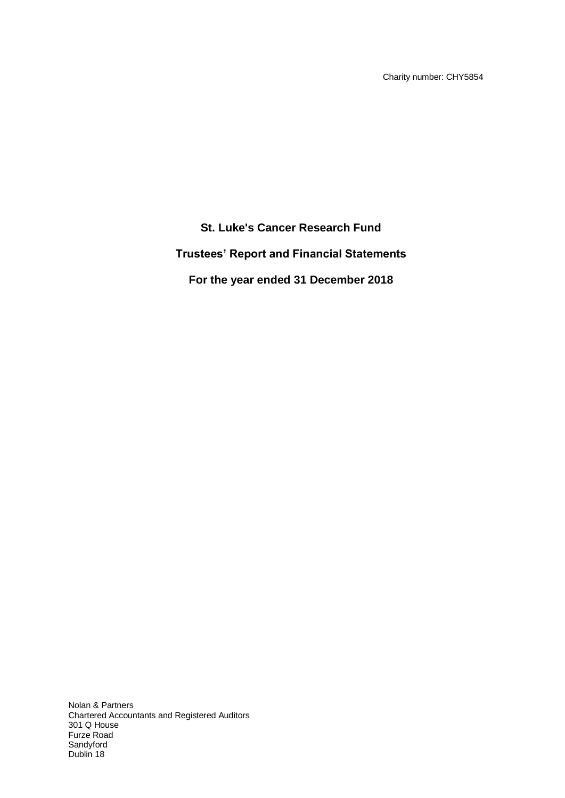Charity number: CHY5854

# **St. Luke's Cancer Research Fund Trustees' Report and Financial Statements For the year ended 31 December 2018**

Nolan & Partners Chartered Accountants and Registered Auditors 301 Q House Furze Road Sandyford Dublin 18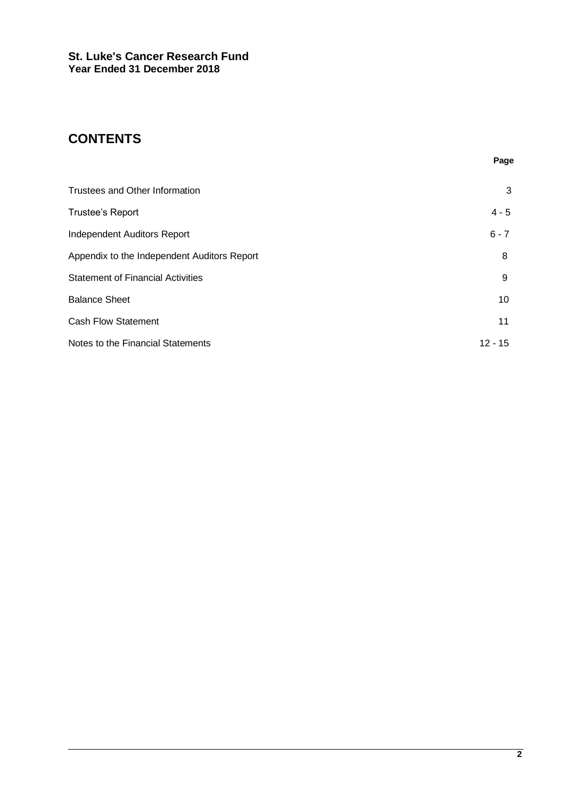# **CONTENTS**

|                                             | Page      |
|---------------------------------------------|-----------|
| Trustees and Other Information              | 3         |
| Trustee's Report                            | $4 - 5$   |
| Independent Auditors Report                 | $6 - 7$   |
| Appendix to the Independent Auditors Report | 8         |
| <b>Statement of Financial Activities</b>    | 9         |
| <b>Balance Sheet</b>                        | 10        |
| <b>Cash Flow Statement</b>                  | 11        |
| Notes to the Financial Statements           | $12 - 15$ |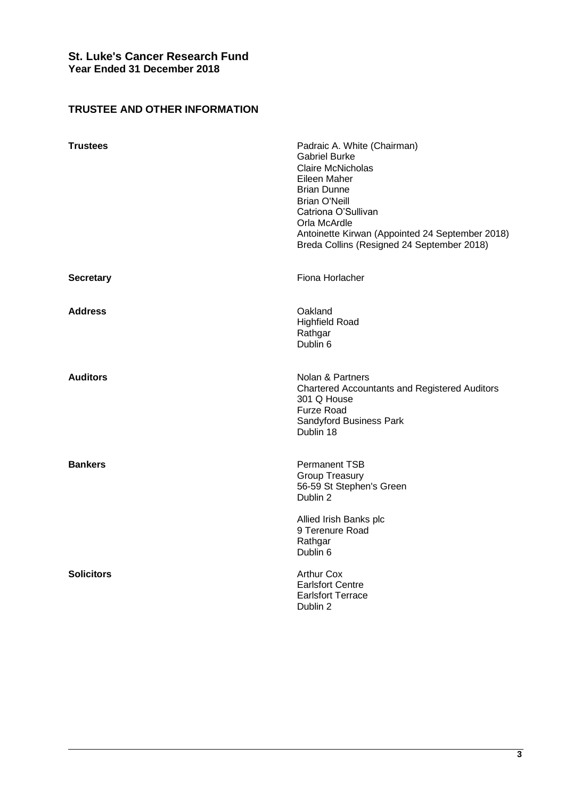# **TRUSTEE AND OTHER INFORMATION**

| <b>Trustees</b>   | Padraic A. White (Chairman)<br><b>Gabriel Burke</b><br><b>Claire McNicholas</b><br>Eileen Maher<br><b>Brian Dunne</b><br><b>Brian O'Neill</b><br>Catriona O'Sullivan<br>Orla McArdle<br>Antoinette Kirwan (Appointed 24 September 2018)<br>Breda Collins (Resigned 24 September 2018) |
|-------------------|---------------------------------------------------------------------------------------------------------------------------------------------------------------------------------------------------------------------------------------------------------------------------------------|
| <b>Secretary</b>  | Fiona Horlacher                                                                                                                                                                                                                                                                       |
| <b>Address</b>    | Oakland<br><b>Highfield Road</b><br>Rathgar<br>Dublin 6                                                                                                                                                                                                                               |
| <b>Auditors</b>   | Nolan & Partners<br><b>Chartered Accountants and Registered Auditors</b><br>301 Q House<br><b>Furze Road</b><br>Sandyford Business Park<br>Dublin 18                                                                                                                                  |
| <b>Bankers</b>    | <b>Permanent TSB</b><br>Group Treasury<br>56-59 St Stephen's Green<br>Dublin 2                                                                                                                                                                                                        |
|                   | Allied Irish Banks plc<br>9 Terenure Road<br>Rathgar<br>Dublin 6                                                                                                                                                                                                                      |
| <b>Solicitors</b> | <b>Arthur Cox</b><br><b>Earlsfort Centre</b><br><b>Earlsfort Terrace</b><br>Dublin 2                                                                                                                                                                                                  |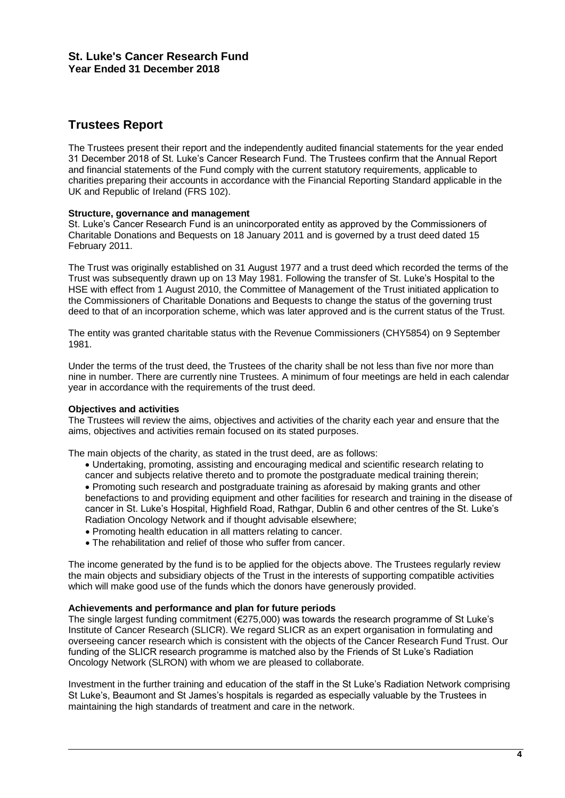# **Trustees Report**

The Trustees present their report and the independently audited financial statements for the year ended 31 December 2018 of St. Luke's Cancer Research Fund. The Trustees confirm that the Annual Report and financial statements of the Fund comply with the current statutory requirements, applicable to charities preparing their accounts in accordance with the Financial Reporting Standard applicable in the UK and Republic of Ireland (FRS 102).

### **Structure, governance and management**

St. Luke's Cancer Research Fund is an unincorporated entity as approved by the Commissioners of Charitable Donations and Bequests on 18 January 2011 and is governed by a trust deed dated 15 February 2011.

The Trust was originally established on 31 August 1977 and a trust deed which recorded the terms of the Trust was subsequently drawn up on 13 May 1981. Following the transfer of St. Luke's Hospital to the HSE with effect from 1 August 2010, the Committee of Management of the Trust initiated application to the Commissioners of Charitable Donations and Bequests to change the status of the governing trust deed to that of an incorporation scheme, which was later approved and is the current status of the Trust.

The entity was granted charitable status with the Revenue Commissioners (CHY5854) on 9 September 1981.

Under the terms of the trust deed, the Trustees of the charity shall be not less than five nor more than nine in number. There are currently nine Trustees. A minimum of four meetings are held in each calendar year in accordance with the requirements of the trust deed.

# **Objectives and activities**

The Trustees will review the aims, objectives and activities of the charity each year and ensure that the aims, objectives and activities remain focused on its stated purposes.

The main objects of the charity, as stated in the trust deed, are as follows:

- Undertaking, promoting, assisting and encouraging medical and scientific research relating to cancer and subjects relative thereto and to promote the postgraduate medical training therein;
- Promoting such research and postgraduate training as aforesaid by making grants and other benefactions to and providing equipment and other facilities for research and training in the disease of cancer in St. Luke's Hospital, Highfield Road, Rathgar, Dublin 6 and other centres of the St. Luke's Radiation Oncology Network and if thought advisable elsewhere;
- Promoting health education in all matters relating to cancer.
- The rehabilitation and relief of those who suffer from cancer.

The income generated by the fund is to be applied for the objects above. The Trustees regularly review the main objects and subsidiary objects of the Trust in the interests of supporting compatible activities which will make good use of the funds which the donors have generously provided.

### **Achievements and performance and plan for future periods**

The single largest funding commitment (€275,000) was towards the research programme of St Luke's Institute of Cancer Research (SLICR). We regard SLICR as an expert organisation in formulating and overseeing cancer research which is consistent with the objects of the Cancer Research Fund Trust. Our funding of the SLICR research programme is matched also by the Friends of St Luke's Radiation Oncology Network (SLRON) with whom we are pleased to collaborate.

Investment in the further training and education of the staff in the St Luke's Radiation Network comprising St Luke's, Beaumont and St James's hospitals is regarded as especially valuable by the Trustees in maintaining the high standards of treatment and care in the network.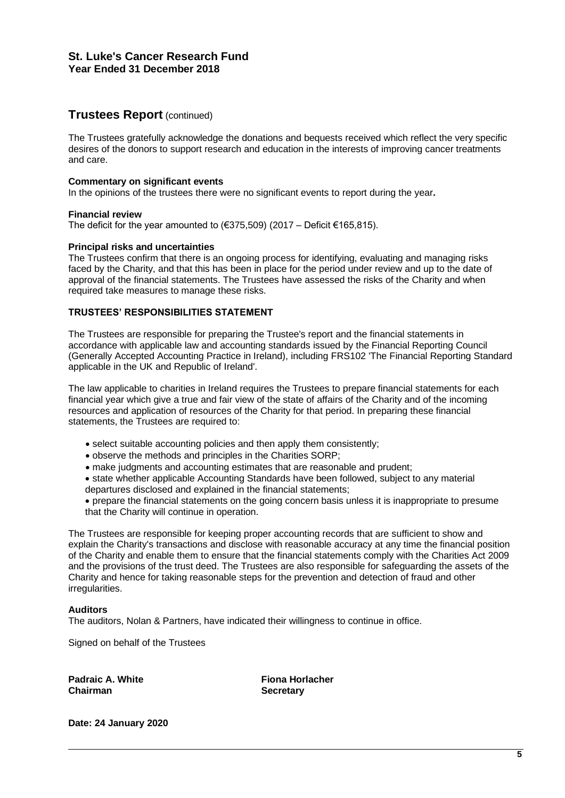# **Trustees Report** (continued)

The Trustees gratefully acknowledge the donations and bequests received which reflect the very specific desires of the donors to support research and education in the interests of improving cancer treatments and care.

### **Commentary on significant events**

In the opinions of the trustees there were no significant events to report during the year**.**

### **Financial review**

The deficit for the year amounted to  $(€375,509)$  (2017 – Deficit €165,815).

### **Principal risks and uncertainties**

The Trustees confirm that there is an ongoing process for identifying, evaluating and managing risks faced by the Charity, and that this has been in place for the period under review and up to the date of approval of the financial statements. The Trustees have assessed the risks of the Charity and when required take measures to manage these risks.

### **TRUSTEES' RESPONSIBILITIES STATEMENT**

The Trustees are responsible for preparing the Trustee's report and the financial statements in accordance with applicable law and accounting standards issued by the Financial Reporting Council (Generally Accepted Accounting Practice in Ireland), including FRS102 'The Financial Reporting Standard applicable in the UK and Republic of Ireland'.

The law applicable to charities in Ireland requires the Trustees to prepare financial statements for each financial year which give a true and fair view of the state of affairs of the Charity and of the incoming resources and application of resources of the Charity for that period. In preparing these financial statements, the Trustees are required to:

- select suitable accounting policies and then apply them consistently;
- observe the methods and principles in the Charities SORP;
- make judgments and accounting estimates that are reasonable and prudent;
- state whether applicable Accounting Standards have been followed, subject to any material departures disclosed and explained in the financial statements;
- prepare the financial statements on the going concern basis unless it is inappropriate to presume that the Charity will continue in operation.

The Trustees are responsible for keeping proper accounting records that are sufficient to show and explain the Charity's transactions and disclose with reasonable accuracy at any time the financial position of the Charity and enable them to ensure that the financial statements comply with the Charities Act 2009 and the provisions of the trust deed. The Trustees are also responsible for safeguarding the assets of the Charity and hence for taking reasonable steps for the prevention and detection of fraud and other irregularities.

### **Auditors**

The auditors, Nolan & Partners, have indicated their willingness to continue in office.

Signed on behalf of the Trustees

**Padraic A. White Fiona Horlacher Chairman Secretary**

**Date: 24 January 2020**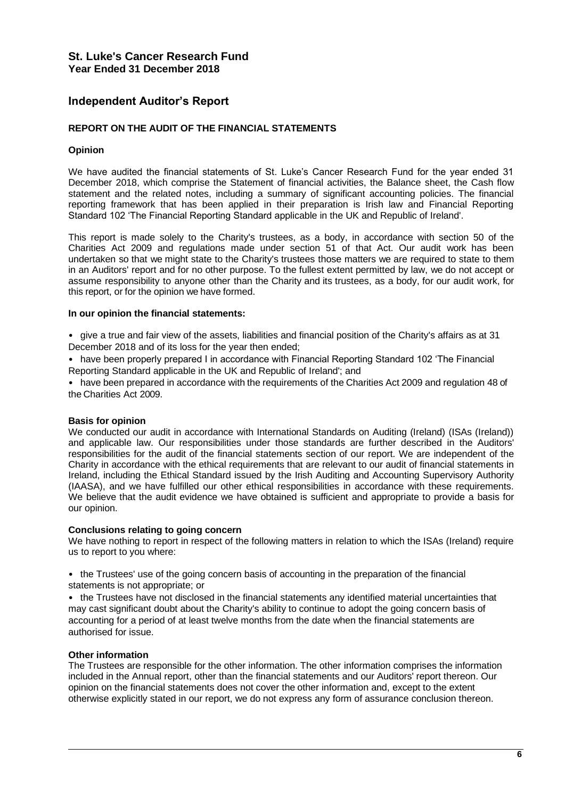# **Independent Auditor's Report**

### **REPORT ON THE AUDIT OF THE FINANCIAL STATEMENTS**

### **Opinion**

We have audited the financial statements of St. Luke's Cancer Research Fund for the year ended 31 December 2018, which comprise the Statement of financial activities, the Balance sheet, the Cash flow statement and the related notes, including a summary of significant accounting policies. The financial reporting framework that has been applied in their preparation is Irish law and Financial Reporting Standard 102 'The Financial Reporting Standard applicable in the UK and Republic of Ireland'.

This report is made solely to the Charity's trustees, as a body, in accordance with section 50 of the Charities Act 2009 and regulations made under section 51 of that Act. Our audit work has been undertaken so that we might state to the Charity's trustees those matters we are required to state to them in an Auditors' report and for no other purpose. To the fullest extent permitted by law, we do not accept or assume responsibility to anyone other than the Charity and its trustees, as a body, for our audit work, for this report, or for the opinion we have formed.

### **In our opinion the financial statements:**

• give a true and fair view of the assets, liabilities and financial position of the Charity's affairs as at 31 December 2018 and of its loss for the year then ended;

• have been properly prepared I in accordance with Financial Reporting Standard 102 'The Financial Reporting Standard applicable in the UK and Republic of Ireland'; and

• have been prepared in accordance with the requirements of the Charities Act 2009 and regulation 48 of the Charities Act 2009.

### **Basis for opinion**

We conducted our audit in accordance with International Standards on Auditing (Ireland) (ISAs (Ireland)) and applicable law. Our responsibilities under those standards are further described in the Auditors' responsibilities for the audit of the financial statements section of our report. We are independent of the Charity in accordance with the ethical requirements that are relevant to our audit of financial statements in Ireland, including the Ethical Standard issued by the Irish Auditing and Accounting Supervisory Authority (IAASA), and we have fulfilled our other ethical responsibilities in accordance with these requirements. We believe that the audit evidence we have obtained is sufficient and appropriate to provide a basis for our opinion.

### **Conclusions relating to going concern**

We have nothing to report in respect of the following matters in relation to which the ISAs (Ireland) require us to report to you where:

• the Trustees' use of the going concern basis of accounting in the preparation of the financial statements is not appropriate; or

• the Trustees have not disclosed in the financial statements any identified material uncertainties that may cast significant doubt about the Charity's ability to continue to adopt the going concern basis of accounting for a period of at least twelve months from the date when the financial statements are authorised for issue.

### **Other information**

The Trustees are responsible for the other information. The other information comprises the information included in the Annual report, other than the financial statements and our Auditors' report thereon. Our opinion on the financial statements does not cover the other information and, except to the extent otherwise explicitly stated in our report, we do not express any form of assurance conclusion thereon.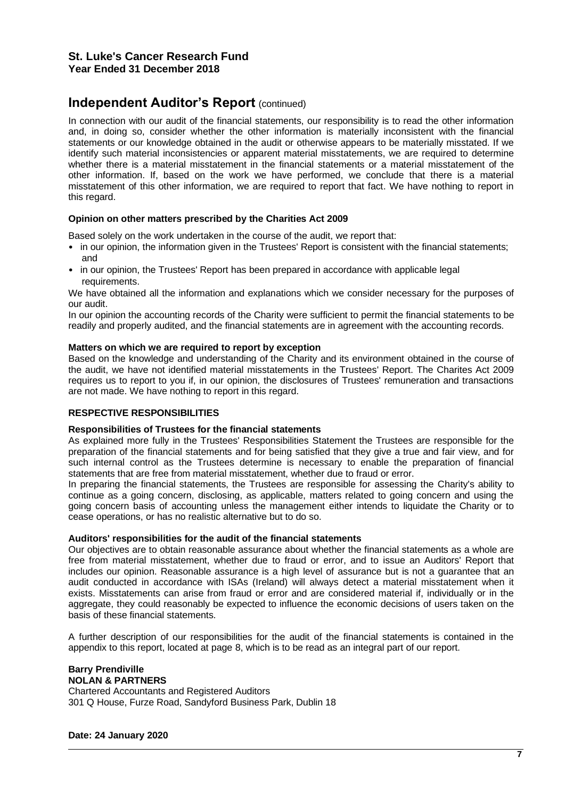# **Independent Auditor's Report (continued)**

In connection with our audit of the financial statements, our responsibility is to read the other information and, in doing so, consider whether the other information is materially inconsistent with the financial statements or our knowledge obtained in the audit or otherwise appears to be materially misstated. If we identify such material inconsistencies or apparent material misstatements, we are required to determine whether there is a material misstatement in the financial statements or a material misstatement of the other information. If, based on the work we have performed, we conclude that there is a material misstatement of this other information, we are required to report that fact. We have nothing to report in this regard.

### **Opinion on other matters prescribed by the Charities Act 2009**

Based solely on the work undertaken in the course of the audit, we report that:

- in our opinion, the information given in the Trustees' Report is consistent with the financial statements; and
- in our opinion, the Trustees' Report has been prepared in accordance with applicable legal requirements.

We have obtained all the information and explanations which we consider necessary for the purposes of our audit.

In our opinion the accounting records of the Charity were sufficient to permit the financial statements to be readily and properly audited, and the financial statements are in agreement with the accounting records.

### **Matters on which we are required to report by exception**

Based on the knowledge and understanding of the Charity and its environment obtained in the course of the audit, we have not identified material misstatements in the Trustees' Report. The Charites Act 2009 requires us to report to you if, in our opinion, the disclosures of Trustees' remuneration and transactions are not made. We have nothing to report in this regard.

### **RESPECTIVE RESPONSIBILITIES**

### **Responsibilities of Trustees for the financial statements**

As explained more fully in the Trustees' Responsibilities Statement the Trustees are responsible for the preparation of the financial statements and for being satisfied that they give a true and fair view, and for such internal control as the Trustees determine is necessary to enable the preparation of financial statements that are free from material misstatement, whether due to fraud or error.

In preparing the financial statements, the Trustees are responsible for assessing the Charity's ability to continue as a going concern, disclosing, as applicable, matters related to going concern and using the going concern basis of accounting unless the management either intends to liquidate the Charity or to cease operations, or has no realistic alternative but to do so.

### **Auditors' responsibilities for the audit of the financial statements**

Our objectives are to obtain reasonable assurance about whether the financial statements as a whole are free from material misstatement, whether due to fraud or error, and to issue an Auditors' Report that includes our opinion. Reasonable assurance is a high level of assurance but is not a guarantee that an audit conducted in accordance with ISAs (Ireland) will always detect a material misstatement when it exists. Misstatements can arise from fraud or error and are considered material if, individually or in the aggregate, they could reasonably be expected to influence the economic decisions of users taken on the basis of these financial statements.

A further description of our responsibilities for the audit of the financial statements is contained in the appendix to this report, located at page 8, which is to be read as an integral part of our report.

### **Barry Prendiville NOLAN & PARTNERS** Chartered Accountants and Registered Auditors 301 Q House, Furze Road, Sandyford Business Park, Dublin 18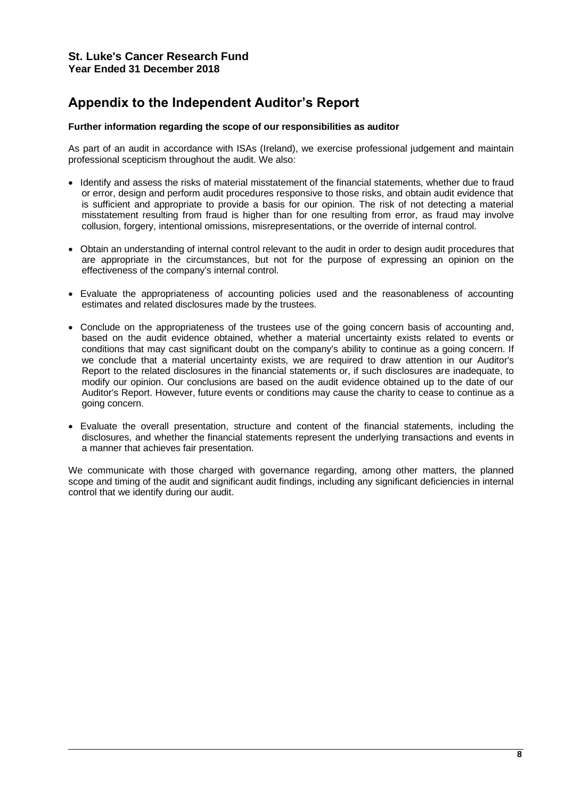# **Appendix to the Independent Auditor's Report**

### **Further information regarding the scope of our responsibilities as auditor**

As part of an audit in accordance with ISAs (Ireland), we exercise professional judgement and maintain professional scepticism throughout the audit. We also:

- Identify and assess the risks of material misstatement of the financial statements, whether due to fraud or error, design and perform audit procedures responsive to those risks, and obtain audit evidence that is sufficient and appropriate to provide a basis for our opinion. The risk of not detecting a material misstatement resulting from fraud is higher than for one resulting from error, as fraud may involve collusion, forgery, intentional omissions, misrepresentations, or the override of internal control.
- Obtain an understanding of internal control relevant to the audit in order to design audit procedures that are appropriate in the circumstances, but not for the purpose of expressing an opinion on the effectiveness of the company's internal control.
- Evaluate the appropriateness of accounting policies used and the reasonableness of accounting estimates and related disclosures made by the trustees.
- Conclude on the appropriateness of the trustees use of the going concern basis of accounting and, based on the audit evidence obtained, whether a material uncertainty exists related to events or conditions that may cast significant doubt on the company's ability to continue as a going concern. If we conclude that a material uncertainty exists, we are required to draw attention in our Auditor's Report to the related disclosures in the financial statements or, if such disclosures are inadequate, to modify our opinion. Our conclusions are based on the audit evidence obtained up to the date of our Auditor's Report. However, future events or conditions may cause the charity to cease to continue as a going concern.
- Evaluate the overall presentation, structure and content of the financial statements, including the disclosures, and whether the financial statements represent the underlying transactions and events in a manner that achieves fair presentation.

We communicate with those charged with governance regarding, among other matters, the planned scope and timing of the audit and significant audit findings, including any significant deficiencies in internal control that we identify during our audit.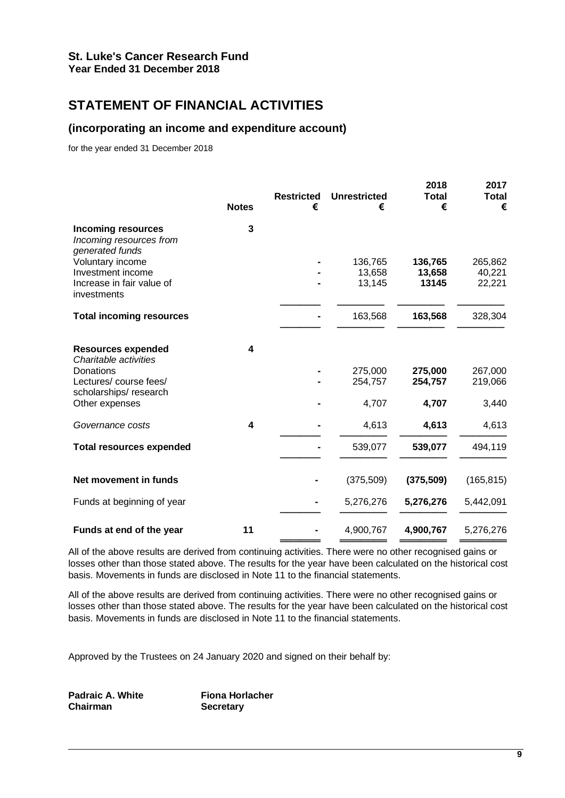# **STATEMENT OF FINANCIAL ACTIVITIES**

# **(incorporating an income and expenditure account)**

for the year ended 31 December 2018

| <b>Notes</b> | <b>Restricted</b><br>€ | <b>Unrestricted</b><br>€ | 2018<br><b>Total</b><br>€ | 2017<br><b>Total</b><br>€ |
|--------------|------------------------|--------------------------|---------------------------|---------------------------|
| $\mathbf{3}$ |                        |                          |                           |                           |
|              |                        | 136,765                  | 136,765                   | 265,862                   |
|              |                        | 13,658                   | 13,658                    | 40,221                    |
|              |                        |                          |                           | 22,221                    |
|              |                        | 163,568                  | 163,568                   | 328,304                   |
| 4            |                        |                          |                           |                           |
|              |                        | 275,000                  | 275,000                   | 267,000                   |
|              |                        | 254,757                  | 254,757                   | 219,066                   |
|              |                        |                          |                           | 3,440                     |
| 4            |                        | 4,613                    | 4,613                     | 4,613                     |
|              |                        | 539,077                  | 539,077                   | 494,119                   |
|              |                        | (375, 509)               | (375, 509)                | (165, 815)                |
|              |                        | 5,276,276                | 5,276,276                 | 5,442,091                 |
| 11           |                        | 4,900,767                | 4,900,767                 | 5,276,276                 |
|              |                        |                          | 13,145<br>4,707           | 13145<br>4,707            |

All of the above results are derived from continuing activities. There were no other recognised gains or losses other than those stated above. The results for the year have been calculated on the historical cost basis. Movements in funds are disclosed in Note 11 to the financial statements.

All of the above results are derived from continuing activities. There were no other recognised gains or losses other than those stated above. The results for the year have been calculated on the historical cost basis. Movements in funds are disclosed in Note 11 to the financial statements.

Approved by the Trustees on 24 January 2020 and signed on their behalf by:

**Padraic A. White Fiona Horlacher Chairman Secretary**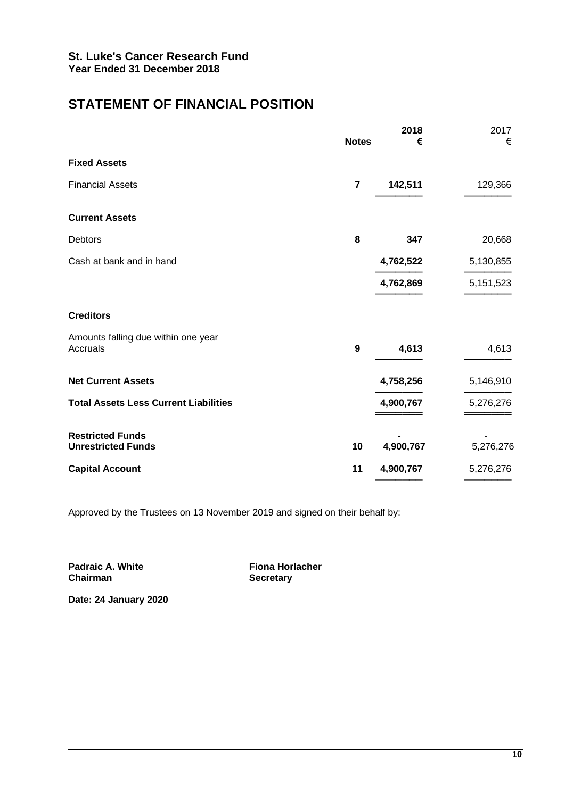# **STATEMENT OF FINANCIAL POSITION**

|                                                      | <b>Notes</b> | 2018<br>€ | 2017<br>€ |
|------------------------------------------------------|--------------|-----------|-----------|
| <b>Fixed Assets</b>                                  |              |           |           |
| <b>Financial Assets</b>                              | 7            | 142,511   | 129,366   |
| <b>Current Assets</b>                                |              |           |           |
| <b>Debtors</b>                                       | 8            | 347       | 20,668    |
| Cash at bank and in hand                             |              | 4,762,522 | 5,130,855 |
|                                                      |              | 4,762,869 | 5,151,523 |
| <b>Creditors</b>                                     |              |           |           |
| Amounts falling due within one year<br>Accruals      | 9            | 4,613     | 4,613     |
| <b>Net Current Assets</b>                            |              | 4,758,256 | 5,146,910 |
| <b>Total Assets Less Current Liabilities</b>         |              | 4,900,767 | 5,276,276 |
| <b>Restricted Funds</b><br><b>Unrestricted Funds</b> | 10           | 4,900,767 | 5,276,276 |
| <b>Capital Account</b>                               | 11           | 4,900,767 | 5,276,276 |

Approved by the Trustees on 13 November 2019 and signed on their behalf by:

**Padraic A. White Fiona Horlacher**<br> **Chairman Example 20** 

**Secretary** 

**Date: 24 January 2020**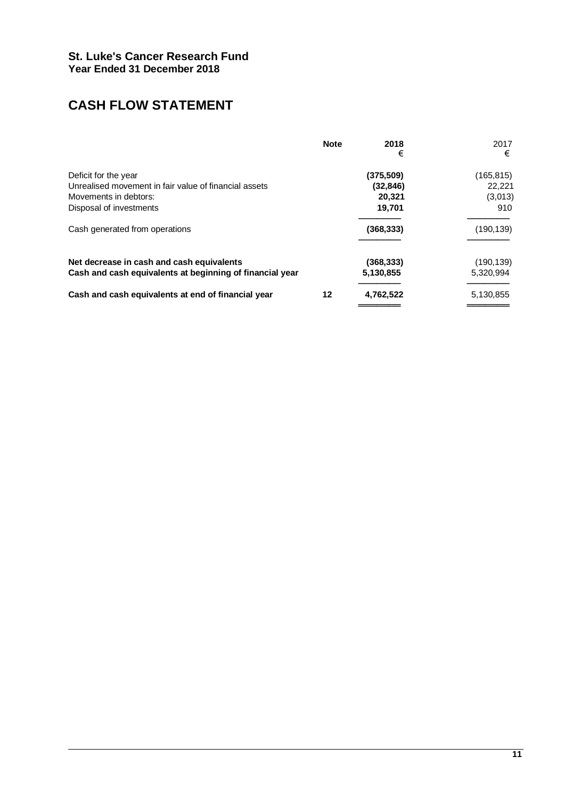# **CASH FLOW STATEMENT**

|                                                          | <b>Note</b> | 2018<br>€  | 2017<br>€  |
|----------------------------------------------------------|-------------|------------|------------|
| Deficit for the year                                     |             | (375, 509) | (165, 815) |
| Unrealised movement in fair value of financial assets    |             | (32, 846)  | 22.221     |
| Movements in debtors:                                    |             | 20,321     | (3,013)    |
| Disposal of investments                                  |             | 19,701     | 910        |
| Cash generated from operations                           |             | (368, 333) | (190, 139) |
| Net decrease in cash and cash equivalents                |             | (368, 333) | (190, 139) |
| Cash and cash equivalents at beginning of financial year |             | 5,130,855  | 5,320,994  |
| Cash and cash equivalents at end of financial year       | 12          | 4,762,522  | 5,130,855  |
|                                                          |             |            |            |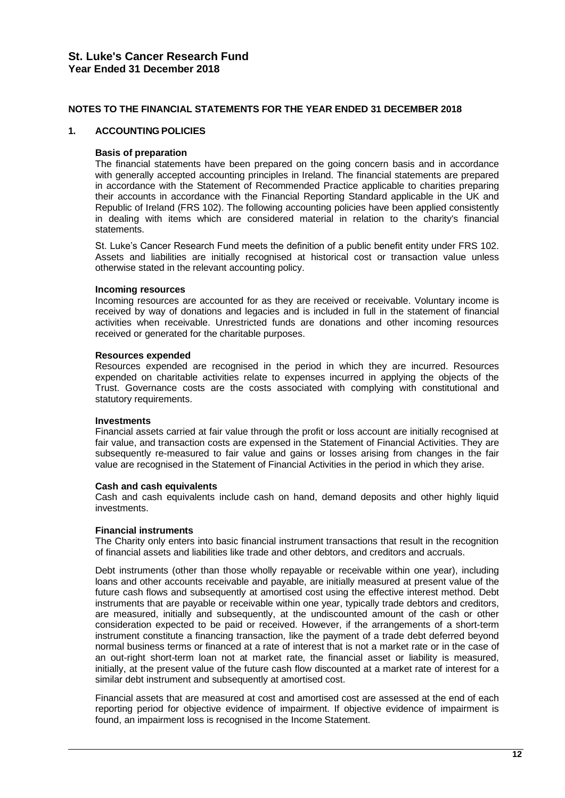### **NOTES TO THE FINANCIAL STATEMENTS FOR THE YEAR ENDED 31 DECEMBER 2018**

### **1. ACCOUNTING POLICIES**

### **Basis of preparation**

The financial statements have been prepared on the going concern basis and in accordance with generally accepted accounting principles in Ireland. The financial statements are prepared in accordance with the Statement of Recommended Practice applicable to charities preparing their accounts in accordance with the Financial Reporting Standard applicable in the UK and Republic of Ireland (FRS 102). The following accounting policies have been applied consistently in dealing with items which are considered material in relation to the charity's financial statements.

St. Luke's Cancer Research Fund meets the definition of a public benefit entity under FRS 102. Assets and liabilities are initially recognised at historical cost or transaction value unless otherwise stated in the relevant accounting policy.

### **Incoming resources**

Incoming resources are accounted for as they are received or receivable. Voluntary income is received by way of donations and legacies and is included in full in the statement of financial activities when receivable. Unrestricted funds are donations and other incoming resources received or generated for the charitable purposes.

### **Resources expended**

Resources expended are recognised in the period in which they are incurred. Resources expended on charitable activities relate to expenses incurred in applying the objects of the Trust. Governance costs are the costs associated with complying with constitutional and statutory requirements.

### **Investments**

Financial assets carried at fair value through the profit or loss account are initially recognised at fair value, and transaction costs are expensed in the Statement of Financial Activities. They are subsequently re-measured to fair value and gains or losses arising from changes in the fair value are recognised in the Statement of Financial Activities in the period in which they arise.

### **Cash and cash equivalents**

Cash and cash equivalents include cash on hand, demand deposits and other highly liquid investments.

### **Financial instruments**

The Charity only enters into basic financial instrument transactions that result in the recognition of financial assets and liabilities like trade and other debtors, and creditors and accruals.

Debt instruments (other than those wholly repayable or receivable within one year), including loans and other accounts receivable and payable, are initially measured at present value of the future cash flows and subsequently at amortised cost using the effective interest method. Debt instruments that are payable or receivable within one year, typically trade debtors and creditors, are measured, initially and subsequently, at the undiscounted amount of the cash or other consideration expected to be paid or received. However, if the arrangements of a short-term instrument constitute a financing transaction, like the payment of a trade debt deferred beyond normal business terms or financed at a rate of interest that is not a market rate or in the case of an out-right short-term loan not at market rate, the financial asset or liability is measured, initially, at the present value of the future cash flow discounted at a market rate of interest for a similar debt instrument and subsequently at amortised cost.

Financial assets that are measured at cost and amortised cost are assessed at the end of each reporting period for objective evidence of impairment. If objective evidence of impairment is found, an impairment loss is recognised in the Income Statement.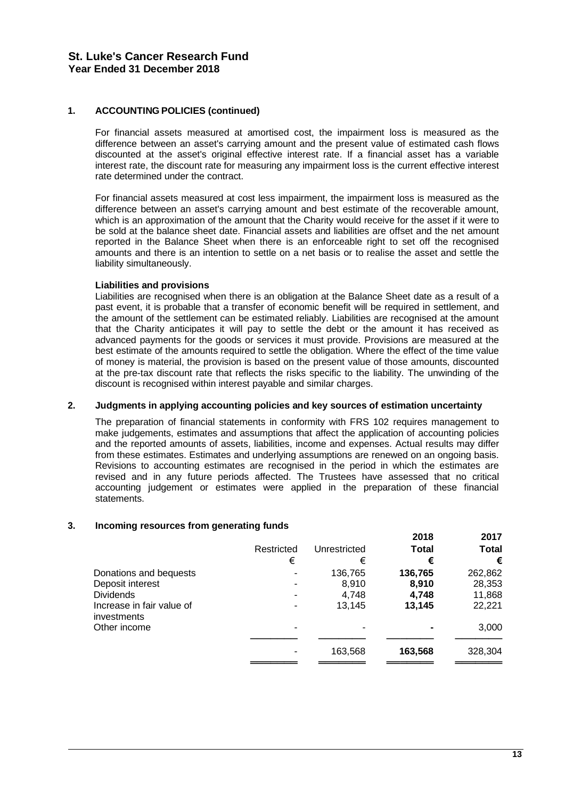# **1. ACCOUNTING POLICIES (continued)**

For financial assets measured at amortised cost, the impairment loss is measured as the difference between an asset's carrying amount and the present value of estimated cash flows discounted at the asset's original effective interest rate. If a financial asset has a variable interest rate, the discount rate for measuring any impairment loss is the current effective interest rate determined under the contract.

For financial assets measured at cost less impairment, the impairment loss is measured as the difference between an asset's carrying amount and best estimate of the recoverable amount, which is an approximation of the amount that the Charity would receive for the asset if it were to be sold at the balance sheet date. Financial assets and liabilities are offset and the net amount reported in the Balance Sheet when there is an enforceable right to set off the recognised amounts and there is an intention to settle on a net basis or to realise the asset and settle the liability simultaneously.

### **Liabilities and provisions**

Liabilities are recognised when there is an obligation at the Balance Sheet date as a result of a past event, it is probable that a transfer of economic benefit will be required in settlement, and the amount of the settlement can be estimated reliably. Liabilities are recognised at the amount that the Charity anticipates it will pay to settle the debt or the amount it has received as advanced payments for the goods or services it must provide. Provisions are measured at the best estimate of the amounts required to settle the obligation. Where the effect of the time value of money is material, the provision is based on the present value of those amounts, discounted at the pre-tax discount rate that reflects the risks specific to the liability. The unwinding of the discount is recognised within interest payable and similar charges.

### **2. Judgments in applying accounting policies and key sources of estimation uncertainty**

The preparation of financial statements in conformity with FRS 102 requires management to make judgements, estimates and assumptions that affect the application of accounting policies and the reported amounts of assets, liabilities, income and expenses. Actual results may differ from these estimates. Estimates and underlying assumptions are renewed on an ongoing basis. Revisions to accounting estimates are recognised in the period in which the estimates are revised and in any future periods affected. The Trustees have assessed that no critical accounting judgement or estimates were applied in the preparation of these financial statements.

### **3. Incoming resources from generating funds**

|                                          |            |              | 2018         | 2017         |
|------------------------------------------|------------|--------------|--------------|--------------|
|                                          | Restricted | Unrestricted | <b>Total</b> | <b>Total</b> |
|                                          | €          | €            | €            | €            |
| Donations and bequests                   |            | 136,765      | 136,765      | 262,862      |
| Deposit interest                         |            | 8.910        | 8,910        | 28,353       |
| <b>Dividends</b>                         |            | 4.748        | 4.748        | 11,868       |
| Increase in fair value of<br>investments |            | 13.145       | 13.145       | 22,221       |
| Other income                             |            | -            |              | 3,000        |
|                                          |            | 163,568      | 163,568      | 328,304      |
|                                          |            |              |              |              |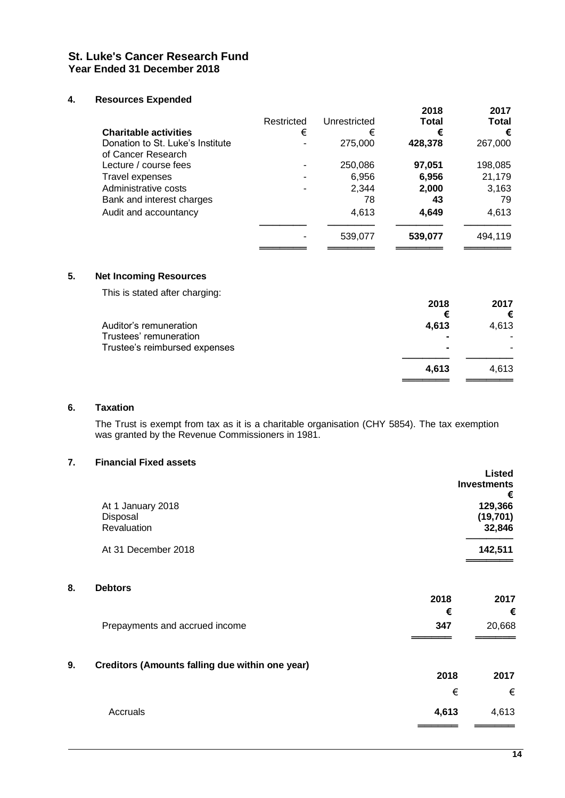# **4. Resources Expended**

|                                                        | Restricted | Unrestricted | 2018<br><b>Total</b> | 2017<br><b>Total</b> |
|--------------------------------------------------------|------------|--------------|----------------------|----------------------|
| <b>Charitable activities</b>                           | €          | €            | €                    | €                    |
| Donation to St. Luke's Institute<br>of Cancer Research |            | 275,000      | 428,378              | 267,000              |
| Lecture / course fees                                  |            | 250,086      | 97,051               | 198,085              |
| Travel expenses                                        |            | 6,956        | 6,956                | 21,179               |
| Administrative costs                                   |            | 2.344        | 2,000                | 3,163                |
| Bank and interest charges                              |            | 78           | 43                   | 79                   |
| Audit and accountancy                                  |            | 4,613        | 4,649                | 4,613                |
|                                                        |            | 539,077      | 539,077              | 494,119              |
|                                                        |            |              |                      |                      |

# **5. Net Incoming Resources**

This is stated after charging:

|                               | 2018           | 2017  |
|-------------------------------|----------------|-------|
|                               | €              | €     |
| Auditor's remuneration        | 4,613          | 4,613 |
| Trustees' remuneration        | $\blacksquare$ |       |
| Trustee's reimbursed expenses |                |       |
|                               | 4,613          | 4.613 |
|                               |                |       |

### **6. Taxation**

The Trust is exempt from tax as it is a charitable organisation (CHY 5854). The tax exemption was granted by the Revenue Commissioners in 1981.

# **7. Financial Fixed assets**

|    |                                                 |       | <b>Listed</b><br><b>Investments</b><br>€ |
|----|-------------------------------------------------|-------|------------------------------------------|
|    | At 1 January 2018                               |       | 129,366                                  |
|    | Disposal<br>Revaluation                         |       | (19, 701)<br>32,846                      |
|    | At 31 December 2018                             |       | 142,511                                  |
| 8. | <b>Debtors</b>                                  | 2018  | 2017                                     |
|    |                                                 | €     | €                                        |
|    | Prepayments and accrued income                  | 347   | 20,668                                   |
| 9. | Creditors (Amounts falling due within one year) |       |                                          |
|    |                                                 | 2018  | 2017                                     |
|    |                                                 | €     | €                                        |
|    | Accruals                                        | 4,613 | 4,613                                    |
|    |                                                 |       |                                          |